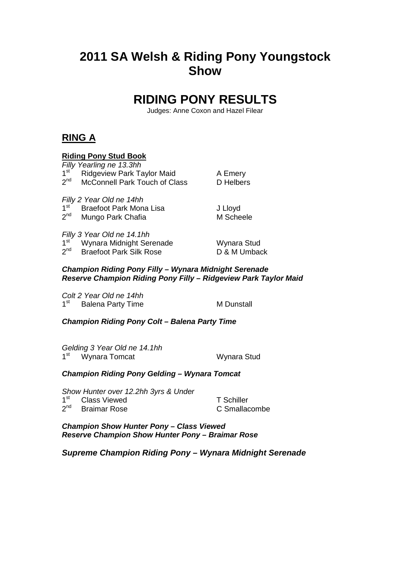# **2011 SA Welsh & Riding Pony Youngstock Show**

## **RIDING PONY RESULTS**

Judges: Anne Coxon and Hazel Filear

## **RING A**

### **Riding Pony Stud Book**

|                                                                                                                          | Filly Yearling ne 13.3hh       |              |  |  |  |  |
|--------------------------------------------------------------------------------------------------------------------------|--------------------------------|--------------|--|--|--|--|
| 1 <sup>st</sup>                                                                                                          | Ridgeview Park Taylor Maid     | A Emery      |  |  |  |  |
| 2 <sup>nd</sup>                                                                                                          | McConnell Park Touch of Class  | D Helbers    |  |  |  |  |
| Filly 2 Year Old ne 14hh                                                                                                 |                                |              |  |  |  |  |
| 1 <sup>st</sup>                                                                                                          | <b>Braefoot Park Mona Lisa</b> | J Lloyd      |  |  |  |  |
| $2^{nd}$                                                                                                                 | Mungo Park Chafia              | M Scheele    |  |  |  |  |
| Filly 3 Year Old ne 14.1hh                                                                                               |                                |              |  |  |  |  |
| 1 <sup>st</sup>                                                                                                          | Wynara Midnight Serenade       | Wynara Stud  |  |  |  |  |
| 2 <sup>nd</sup>                                                                                                          | <b>Braefoot Park Silk Rose</b> | D & M Umback |  |  |  |  |
| Champion Riding Pony Filly - Wynara Midnight Serenade<br>Reserve Champion Riding Pony Filly - Ridgeview Park Taylor Maid |                                |              |  |  |  |  |
|                                                                                                                          | Colt 2 Year Old ne 14hh        |              |  |  |  |  |
| 1 <sup>st</sup>                                                                                                          | <b>Balena Party Time</b>       | M Dunstall   |  |  |  |  |
| <b>Champion Riding Pony Colt – Balena Party Time</b>                                                                     |                                |              |  |  |  |  |
|                                                                                                                          |                                |              |  |  |  |  |

Gelding 3 Year Old ne 14.1hh 1<sup>st</sup> Wynara Tomcat **Wynara Stud** 

#### **Champion Riding Pony Gelding – Wynara Tomcat**

Show Hunter over 12.2hh 3yrs & Under

1<sup>st</sup> Class Viewed T Schiller 2<sup>nd</sup> Braimar Rose **C** Smallacombe

**Champion Show Hunter Pony – Class Viewed Reserve Champion Show Hunter Pony – Braimar Rose** 

**Supreme Champion Riding Pony – Wynara Midnight Serenade**